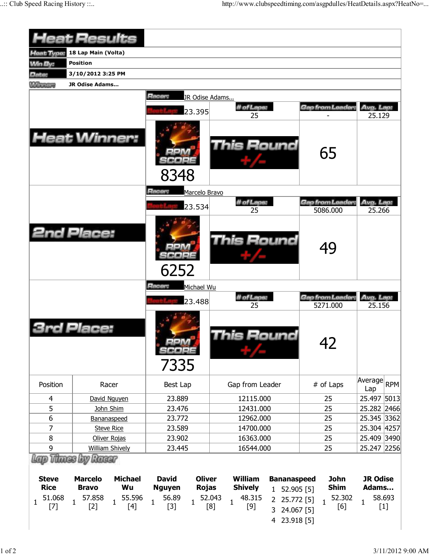|                                                     | <b>Heat Results</b>                                                                                                                                |                                                                                                                  |                                                                                                                                                                                               |                                                             |                                                             |
|-----------------------------------------------------|----------------------------------------------------------------------------------------------------------------------------------------------------|------------------------------------------------------------------------------------------------------------------|-----------------------------------------------------------------------------------------------------------------------------------------------------------------------------------------------|-------------------------------------------------------------|-------------------------------------------------------------|
| Heat Type:                                          | 18 Lap Main (Volta)                                                                                                                                |                                                                                                                  |                                                                                                                                                                                               |                                                             |                                                             |
| <b>Min By:</b>                                      | <b>Position</b>                                                                                                                                    |                                                                                                                  |                                                                                                                                                                                               |                                                             |                                                             |
| Date:                                               | 3/10/2012 3:25 PM                                                                                                                                  |                                                                                                                  |                                                                                                                                                                                               |                                                             |                                                             |
| <b>Winners</b>                                      | JR Odise Adams                                                                                                                                     |                                                                                                                  |                                                                                                                                                                                               |                                                             |                                                             |
|                                                     | <b>Heat Winner:</b>                                                                                                                                | Racer:<br>JR Odise Adams<br>23.395                                                                               | # of Laps:<br>25                                                                                                                                                                              | Gap from Leader                                             | Avg. Lap:<br>25.129                                         |
|                                                     |                                                                                                                                                    | 8348                                                                                                             | <b>This Round</b>                                                                                                                                                                             | 65                                                          |                                                             |
|                                                     |                                                                                                                                                    | Racer:<br>Marcelo Bravo                                                                                          |                                                                                                                                                                                               |                                                             |                                                             |
|                                                     |                                                                                                                                                    | 23.534                                                                                                           | # of Laps:<br>25                                                                                                                                                                              | Gap from Leader.<br>5086.000                                | Avg. Lap:<br>25.266                                         |
|                                                     | <b>2nd Place:</b>                                                                                                                                  | 6252                                                                                                             | This Round                                                                                                                                                                                    | 49                                                          |                                                             |
|                                                     |                                                                                                                                                    | Racer:<br>Michael Wu                                                                                             |                                                                                                                                                                                               |                                                             |                                                             |
|                                                     |                                                                                                                                                    | 23,488                                                                                                           | # of Laps:                                                                                                                                                                                    | Gap from Leader:                                            | Avg. Lap:                                                   |
|                                                     | Place:                                                                                                                                             | 7335                                                                                                             | 25<br>his Round                                                                                                                                                                               | 5271.000<br>42                                              | 25.156                                                      |
| Position                                            | Racer                                                                                                                                              | Best Lap                                                                                                         | Gap from Leader                                                                                                                                                                               | # of Laps                                                   | Average RPM<br>Lap                                          |
| 4                                                   | David Nguyen                                                                                                                                       | 23.889                                                                                                           | 12115.000                                                                                                                                                                                     | 25                                                          | 25.497 5013                                                 |
| 5                                                   | John Shim                                                                                                                                          | 23.476                                                                                                           | 12431.000                                                                                                                                                                                     | 25                                                          | 25.282 2466                                                 |
| $\boldsymbol{6}$                                    | Bananaspeed                                                                                                                                        | 23.772                                                                                                           | 12962.000                                                                                                                                                                                     | 25                                                          | 25.345 3362                                                 |
| 7                                                   | <b>Steve Rice</b>                                                                                                                                  | 23.589                                                                                                           | 14700.000                                                                                                                                                                                     | 25                                                          | 25.304 4257                                                 |
| 8                                                   | Oliver Rojas                                                                                                                                       | 23.902                                                                                                           | 16363.000                                                                                                                                                                                     | 25                                                          | 25.409 3490                                                 |
| 9                                                   | <b>William Shively</b>                                                                                                                             | 23.445                                                                                                           | 16544.000                                                                                                                                                                                     | 25                                                          | 25.247 2256                                                 |
| <b>Steve</b><br><b>Rice</b><br>51.068<br>1<br>$[7]$ | Lap Thues by Racer<br><b>Michael</b><br><b>Marcelo</b><br>Wu<br><b>Bravo</b><br>55.596<br>57.858<br>$\mathbf{1}$<br>$\mathbf{1}$<br>$[2]$<br>$[4]$ | <b>Oliver</b><br><b>David</b><br><b>Rojas</b><br><b>Nguyen</b><br>56.89<br>$\mathbf{1}$<br>$\mathbf{1}$<br>$[3]$ | <b>William</b><br><b>Bananaspeed</b><br><b>Shively</b><br>1 52.905 [5]<br>52.043<br>48.315<br>25.772 [5]<br>$2^{\circ}$<br>$\mathbf{1}$<br>$[9]$<br>[8]<br>24.067 [5]<br>3<br>23.918 [5]<br>4 | <b>John</b><br><b>Shim</b><br>52.302<br>$\mathbf{1}$<br>[6] | <b>JR Odise</b><br>Adams<br>58.693<br>$\mathbf{1}$<br>$[1]$ |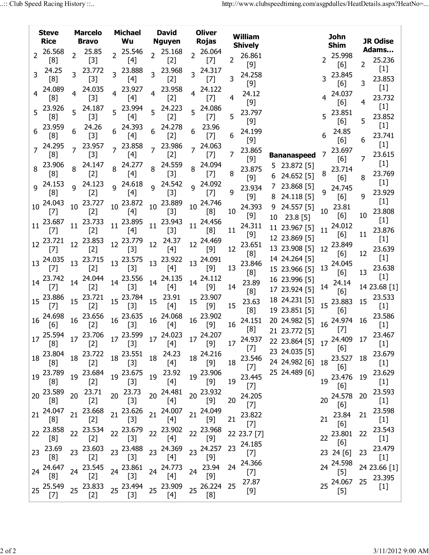|                | <b>Steve</b><br><b>Rice</b>                                                                                                                                                                                                                                                                                                                                                                                                                                                                                                                                           |    | <b>Marcelo</b><br><b>Bravo</b> |  |                                          |                 |                                                                       |    | <b>Michael</b><br>Wu       |                 | <b>David</b><br><b>Nguyen</b> |          | <b>Oliver</b><br><b>Rojas</b>  |    | <b>William</b><br><b>Shively</b> |        |                           |  | <b>John</b><br><b>Shim</b> |  | <b>JR Odise</b> |
|----------------|-----------------------------------------------------------------------------------------------------------------------------------------------------------------------------------------------------------------------------------------------------------------------------------------------------------------------------------------------------------------------------------------------------------------------------------------------------------------------------------------------------------------------------------------------------------------------|----|--------------------------------|--|------------------------------------------|-----------------|-----------------------------------------------------------------------|----|----------------------------|-----------------|-------------------------------|----------|--------------------------------|----|----------------------------------|--------|---------------------------|--|----------------------------|--|-----------------|
| $\overline{2}$ | 26.568                                                                                                                                                                                                                                                                                                                                                                                                                                                                                                                                                                |    | 25.85                          |  | 2 25.546                                 |                 | 2 25.168                                                              |    | 2 26.064                   |                 | 26.861                        |          |                                |    | 25.998                           |        | Adams                     |  |                            |  |                 |
| 3              | [8]<br>24.25<br>[8]                                                                                                                                                                                                                                                                                                                                                                                                                                                                                                                                                   |    | $[3]$<br>23.772<br>$[3]$       |  | $[4]$<br>3 23.888<br>$[4]$               | 3               | $[2]$<br>23.968<br>$[2]$                                              |    | $[7]$<br>3 24.317<br>$[7]$ | 2<br>3          | $[9]$<br>24.258               |          |                                |    | [6]<br>23.845                    | 2      | 25.236<br>$[1]$<br>23.853 |  |                            |  |                 |
|                | 24.089<br>[8]                                                                                                                                                                                                                                                                                                                                                                                                                                                                                                                                                         |    | 4 24.035<br>$[3]$              |  | 4 23.927<br>[4]                          |                 | 4 23.958<br>$[2]$                                                     |    | 4 24.122<br>$[7]$          | 4               | $[9]$<br>24.12                |          |                                |    | [6]<br>24.037                    | 3      | $[1]$<br>23.732           |  |                            |  |                 |
|                | 5 23.926<br>[8]                                                                                                                                                                                                                                                                                                                                                                                                                                                                                                                                                       |    | 5 24.187<br>$[3]$              |  | 5 23.994<br>[4]                          |                 | 5 24.223<br>$[2]$                                                     | 5. | 24.086<br>$[7]$            | 5               | $[9]$<br>23.797<br>$[9]$      |          |                                | 5  | [6]<br>23.851<br>[6]             | 4<br>5 | $[1]$<br>23.852           |  |                            |  |                 |
|                | 23.959<br>[8]                                                                                                                                                                                                                                                                                                                                                                                                                                                                                                                                                         |    | 24.26<br>$[3]$                 |  | 24.393<br>[4]                            | 6               | 24.278<br>$[2]$                                                       |    | 23.96<br>$[7]$             | 6.              | 24.199<br>$[9]$               |          |                                |    | 24.85<br>[6]                     | 6      | $[1]$<br>23.741           |  |                            |  |                 |
|                | 24.295<br>[8]                                                                                                                                                                                                                                                                                                                                                                                                                                                                                                                                                         |    | 23.957<br>$[3]$                |  | 7 23.858<br>[4]                          |                 | 7 23.986<br>$[2]$                                                     |    | 7 24.063<br>$[7]$          | 7               | 23.865<br>$[9]$               |          | <b>Bananaspeed</b>             |    | 23.697<br>[6]                    | 7      | $[1]$<br>23.615           |  |                            |  |                 |
|                | 8 23.906<br>[8]                                                                                                                                                                                                                                                                                                                                                                                                                                                                                                                                                       |    | 8 24.147<br>$[2]$              |  | 8 24.277<br>$[4]$                        |                 | 8 24.559<br>$[3]$                                                     |    | 8 24.094<br>$[7]$          | 8               | 23.875<br>$[9]$               | 6        | 5 23.872 [5]<br>24.652 [5]     | 8  | 23.714<br>[6]                    | 8      | $[1]$<br>23.769<br>$[1]$  |  |                            |  |                 |
|                | 9 24.153<br>[8]<br>24.043                                                                                                                                                                                                                                                                                                                                                                                                                                                                                                                                             | q  | 24.123<br>$[2]$<br>23.727      |  | 9 24.618<br>$[4]$                        | 9               | 24.542<br>$[3]$<br>23.889                                             | q  | 24.092<br>$[7]$<br>24.746  | 9               | 23.934<br>$[9]$               | $\prime$ | 23.868 [5]<br>8 24.118 [5]     |    | 24.745<br>[6]                    | q      | 23.929<br>$[1]$           |  |                            |  |                 |
| 10             | $[7]$<br>23.687                                                                                                                                                                                                                                                                                                                                                                                                                                                                                                                                                       | 10 | $[2]$<br>23.733                |  | 10 23.872<br>$[4]$<br>$11^{23.895}$      | 10 <sup>1</sup> | $[3]$<br>23.943                                                       | 10 | [8]<br>24.456              | 10              | 24.393<br>$[9]$               | 10       | 9 24.557 [5]<br>$23.8$ [5]     | 10 | 23.81<br>$[6]$                   | 10     | 23.808<br>$[1]$           |  |                            |  |                 |
| 11             | $[7]$<br>12 23.721                                                                                                                                                                                                                                                                                                                                                                                                                                                                                                                                                    | 11 | $[2]$<br>12 23.853             |  | $[4]$<br>12 23.779                       | 11              | [3]<br>$12 \t 24.37$                                                  | 11 | [8]<br>12 24.469           | 11              | 24.311<br>$[9]$               |          | 11 23.967 [5]<br>12 23.869 [5] | 11 | 24.012<br>$[6]$                  | 11     | 23.876<br>$[1]$           |  |                            |  |                 |
|                | $[7]$<br>13 24.035                                                                                                                                                                                                                                                                                                                                                                                                                                                                                                                                                    |    | $[2]$<br>13 23.715             |  | $[3]$<br>13 23.575                       | 13              | $[4]$<br>23.922                                                       |    | $[9]$<br>13 24.091         | 12              | 23.651<br>[8]<br>23.846       |          | 13 23.908 [5]<br>14 24.264 [5] | 12 | 23.849<br>[6]<br>24.045          | 12     | 23.639<br>$[1]$           |  |                            |  |                 |
|                | $[7]$<br>14 23.742                                                                                                                                                                                                                                                                                                                                                                                                                                                                                                                                                    |    | $[2]$<br>14 24.044             |  | $[3]$<br>14 23.556                       | 14              | $[4]$<br>24.135                                                       |    | $[9]$<br>14 24.112         | 13              | [8]<br>23.89                  |          | 15 23.966 [5]<br>16 23.996 [5] | 13 | $[6]$<br>24.14                   | 13     | 23.638<br>$[1]$           |  |                            |  |                 |
|                | $[7]$<br>15 23.886                                                                                                                                                                                                                                                                                                                                                                                                                                                                                                                                                    |    | $[2]$<br>15 23.721             |  | $[3]$<br>15 23.784                       | 15              | $[4]$<br>23.91                                                        |    | $[9]$<br>15 23.907         | 14<br>15        | [8]<br>23.63                  |          | 17 23.924 [5]<br>18 24.231 [5] | 14 | [6]<br>15 23.883                 | 15     | 14 23.68 [1]<br>23.533    |  |                            |  |                 |
|                | $[7]$<br>$16\frac{24.698}{5}$<br>[6]                                                                                                                                                                                                                                                                                                                                                                                                                                                                                                                                  |    | $[2]$<br>16 23.656<br>$[2]$    |  | $[3]$<br>$16\frac{23.635}{127}$<br>$[3]$ |                 | $[4]$<br>16 24.068<br>$[4]$                                           |    | [9]<br>16 23.902<br>$[9]$  | 16              | [8]<br>24.151                 |          | 19 23.851 [5]<br>20 24.982 [5] |    | [6]<br>16 24.974                 | 16     | $[1]$<br>23.586<br>$[1]$  |  |                            |  |                 |
|                | [8]                                                                                                                                                                                                                                                                                                                                                                                                                                                                                                                                                                   |    | $^{\sim}$ [2]                  |  | $\frac{1}{2}$ [3]                        |                 | 17 25.594 17 23.706 17 23.599 17 24.023 17 24.207<br>$\mathbf{A}$ [4] |    | <sup>1</sup> ' [9]         |                 | [8]<br>17 24.937              |          | 21 23.772 [5]<br>22 23.864 [5] |    | $[7]$<br>17 24.409 17            |        | 23.467<br>$[1]$           |  |                            |  |                 |
|                | 18 23.804<br>[8]                                                                                                                                                                                                                                                                                                                                                                                                                                                                                                                                                      |    | 18 23.722<br>$[2]$             |  | 18 23.551 18 24.23<br>$[3]$              |                 | [4]                                                                   |    | 18 24.216<br>$[9]$         |                 | $[7]$<br>18 23.546<br>$[7]$   |          | 23 24.035 [5]<br>24 24.982 [6] |    | [6]<br>18 23.527 18<br>[6]       |        | 23.679<br>$[1]$           |  |                            |  |                 |
|                | 19 23.789<br>[8]                                                                                                                                                                                                                                                                                                                                                                                                                                                                                                                                                      |    | 19 23.684<br>$[2]$             |  | 19 23.675<br>$[3]$                       |                 | 19 23.92<br>$[4]$                                                     |    | 19 23.906<br>$[9]$         | 19              | 23.445<br>$[7]$               |          | 25 24.489 [6]                  | 19 | 23.476<br>[6]                    | 19     | 23.629<br>$[1]$           |  |                            |  |                 |
|                | 20 23.589<br>[8]                                                                                                                                                                                                                                                                                                                                                                                                                                                                                                                                                      |    | 20 23.71<br>$[2]$              |  | 20 23.73<br>$[3]$                        |                 | 20 24.481<br>$[4]$                                                    |    | 20 23.932<br>$[9]$         | 20 <sup>2</sup> | 24.205<br>$[7]$               |          |                                | 20 | 24.578<br>[6]                    | 20     | 23.593<br>$[1]$           |  |                            |  |                 |
|                | 21 24.047<br>[8]                                                                                                                                                                                                                                                                                                                                                                                                                                                                                                                                                      |    | 21 23.668<br>$[2]$             |  | 21 23.626<br>$[3]$                       |                 | 21 24.007<br>[4]                                                      |    | 21 24.049<br>$[9]$         | 21              | 23.822<br>$[7]$               |          |                                | 21 | 23.84<br>[6]                     | 21     | 23.598<br>$[1]$           |  |                            |  |                 |
|                | 22 23.858<br>[8]                                                                                                                                                                                                                                                                                                                                                                                                                                                                                                                                                      |    | 22 23.534<br>$[2]$             |  | 22 23.679 22 23.902<br>$[3]$             |                 | $[4]$                                                                 |    | 22 23.968<br>$[9]$         |                 | 22 23.7 [7]<br>24.185         |          |                                |    | 22 23.801<br>[6]                 | 22     | 23.543<br>$[1]$           |  |                            |  |                 |
|                | 23 23.69<br>[8]                                                                                                                                                                                                                                                                                                                                                                                                                                                                                                                                                       |    | 23 23.603<br>$[2]$             |  | $[3]$                                    |                 | 23 $^{23.488}$ 23 $^{24.369}$<br>$[4]$                                |    | 23 24.257<br>$[9]$         | 23              | $[7]$<br>24.366               |          |                                |    | 23 24 [6]<br>24 24.598           | 23     | 23.479<br>$[1]$           |  |                            |  |                 |
|                | 24 24.647<br>[8]                                                                                                                                                                                                                                                                                                                                                                                                                                                                                                                                                      |    | 24 23.545<br>$[2]$             |  | 24 23.861<br>$[3]$                       |                 | 24 24.773<br>$[4]$                                                    |    | 24 23.94<br>$[9]$          | 24              | $[7]$<br>27.87                |          |                                |    | $[5]$<br>25 24.067               | 25     | 24 23.66 [1]<br>23.395    |  |                            |  |                 |
|                | 25 25.549<br>$[7] % \begin{minipage}[b]{0.5\linewidth} \centering \includegraphics[width=\textwidth]{figs/fig_10.pdf} \caption{The 3D (blue) model for the $z$-axis.} \label{fig:3D}% \end{minipage} \vspace{0.05in} \begin{minipage}[b]{0.5\linewidth} \centering \includegraphics[width=\textwidth]{figs/fig_10.pdf} \caption{The 3D (blue) model for the $z$-axis.} \label{fig:3D} \end{minipage} \vspace{0.05in} \begin{minipage}[b]{0.5\linewidth} \centering \includegraphics[width=\textwidth]{figs/fig_10.pdf} \caption{The 3D (blue) model for the $z$-axis$ |    | 25 23.833<br>$[2]$             |  | 25 23.494 25 23.909<br>$[3]$             |                 | [4]                                                                   |    | 25 26.224<br>[8]           | 25              | $[9]$                         |          |                                |    | $[5]$                            |        | $[1]$                     |  |                            |  |                 |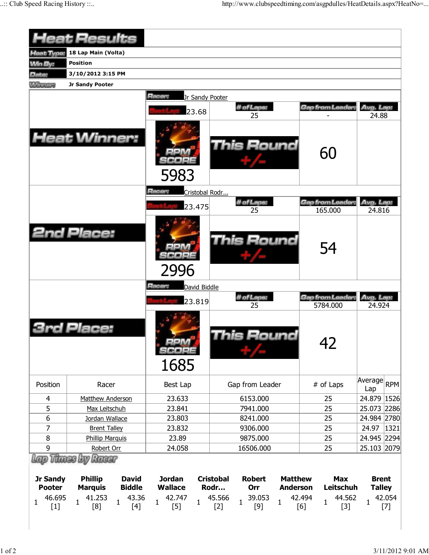|                                                                                                                                                                                                          | <b>Heat Results</b>                                                                                                              |                                                                           |                                                                                                                                             |                                                             |                                                                                                                                                                                                                                                                                                                                                                                                                                                                                                        |
|----------------------------------------------------------------------------------------------------------------------------------------------------------------------------------------------------------|----------------------------------------------------------------------------------------------------------------------------------|---------------------------------------------------------------------------|---------------------------------------------------------------------------------------------------------------------------------------------|-------------------------------------------------------------|--------------------------------------------------------------------------------------------------------------------------------------------------------------------------------------------------------------------------------------------------------------------------------------------------------------------------------------------------------------------------------------------------------------------------------------------------------------------------------------------------------|
| <b>Heat Type:</b>                                                                                                                                                                                        | 18 Lap Main (Volta)                                                                                                              |                                                                           |                                                                                                                                             |                                                             |                                                                                                                                                                                                                                                                                                                                                                                                                                                                                                        |
| <b>Min By:</b>                                                                                                                                                                                           | <b>Position</b>                                                                                                                  |                                                                           |                                                                                                                                             |                                                             |                                                                                                                                                                                                                                                                                                                                                                                                                                                                                                        |
| Date:                                                                                                                                                                                                    | 3/10/2012 3:15 PM                                                                                                                |                                                                           |                                                                                                                                             |                                                             |                                                                                                                                                                                                                                                                                                                                                                                                                                                                                                        |
| <b>Winners</b>                                                                                                                                                                                           | Jr Sandy Pooter                                                                                                                  |                                                                           |                                                                                                                                             |                                                             |                                                                                                                                                                                                                                                                                                                                                                                                                                                                                                        |
|                                                                                                                                                                                                          |                                                                                                                                  | Racer:<br>Jr Sandy Pooter                                                 |                                                                                                                                             |                                                             |                                                                                                                                                                                                                                                                                                                                                                                                                                                                                                        |
|                                                                                                                                                                                                          |                                                                                                                                  |                                                                           | # of Laps:                                                                                                                                  | Gap from Leader                                             | Avg. Lap:                                                                                                                                                                                                                                                                                                                                                                                                                                                                                              |
|                                                                                                                                                                                                          |                                                                                                                                  | 23.68                                                                     | 25                                                                                                                                          |                                                             | 24.88                                                                                                                                                                                                                                                                                                                                                                                                                                                                                                  |
|                                                                                                                                                                                                          | <b>Heat Winner:</b>                                                                                                              | 5983                                                                      | This Round                                                                                                                                  | 60                                                          |                                                                                                                                                                                                                                                                                                                                                                                                                                                                                                        |
|                                                                                                                                                                                                          |                                                                                                                                  | Racer:<br>Cristobal Rodr                                                  |                                                                                                                                             |                                                             |                                                                                                                                                                                                                                                                                                                                                                                                                                                                                                        |
|                                                                                                                                                                                                          |                                                                                                                                  |                                                                           | # of Laps:                                                                                                                                  | Gap from Leader:                                            | Avg. Lap:                                                                                                                                                                                                                                                                                                                                                                                                                                                                                              |
|                                                                                                                                                                                                          |                                                                                                                                  | 23.475                                                                    | 25                                                                                                                                          | 165.000                                                     | 24.816                                                                                                                                                                                                                                                                                                                                                                                                                                                                                                 |
|                                                                                                                                                                                                          | <b>2nd Place:</b>                                                                                                                | 2996                                                                      | This Round                                                                                                                                  | 54                                                          |                                                                                                                                                                                                                                                                                                                                                                                                                                                                                                        |
|                                                                                                                                                                                                          |                                                                                                                                  | Racer:<br>David Biddle                                                    |                                                                                                                                             |                                                             |                                                                                                                                                                                                                                                                                                                                                                                                                                                                                                        |
|                                                                                                                                                                                                          |                                                                                                                                  | 23.819                                                                    | # of Laps:                                                                                                                                  | Gap from Leader:                                            | Avg. Lap:                                                                                                                                                                                                                                                                                                                                                                                                                                                                                              |
|                                                                                                                                                                                                          | Place:                                                                                                                           | $=$ $\frac{1}{4}$<br>78 a 2<br>1685                                       | 25<br>his Round                                                                                                                             | 5784.000<br>42                                              | 24.924                                                                                                                                                                                                                                                                                                                                                                                                                                                                                                 |
| Position                                                                                                                                                                                                 | Racer                                                                                                                            | Best Lap                                                                  | Gap from Leader                                                                                                                             | # of Laps                                                   | Average RPM<br>Lap                                                                                                                                                                                                                                                                                                                                                                                                                                                                                     |
| 4                                                                                                                                                                                                        | Matthew Anderson                                                                                                                 | 23.633                                                                    | 6153.000                                                                                                                                    | 25                                                          | 24.879 1526                                                                                                                                                                                                                                                                                                                                                                                                                                                                                            |
| 5                                                                                                                                                                                                        | Max Leitschuh                                                                                                                    | 23.841                                                                    | 7941.000                                                                                                                                    | 25                                                          | 25.073 2286                                                                                                                                                                                                                                                                                                                                                                                                                                                                                            |
| 6                                                                                                                                                                                                        | Jordan Wallace                                                                                                                   | 23.803                                                                    | 8241.000                                                                                                                                    | 25                                                          | 24.984 2780                                                                                                                                                                                                                                                                                                                                                                                                                                                                                            |
| 7                                                                                                                                                                                                        | <b>Brent Talley</b>                                                                                                              | 23.832                                                                    | 9306.000                                                                                                                                    | 25                                                          | 1321<br>24.97                                                                                                                                                                                                                                                                                                                                                                                                                                                                                          |
| 8                                                                                                                                                                                                        | <b>Phillip Marquis</b>                                                                                                           | 23.89                                                                     | 9875.000                                                                                                                                    | 25                                                          | 24.945 2294                                                                                                                                                                                                                                                                                                                                                                                                                                                                                            |
| 9                                                                                                                                                                                                        | Robert Orr                                                                                                                       | 24.058                                                                    | 16506.000                                                                                                                                   | 25                                                          | 25.103 2079                                                                                                                                                                                                                                                                                                                                                                                                                                                                                            |
| <b>Jr Sandy</b><br><b>Pooter</b><br>46.695<br>$\mathbf{1}$                                                                                                                                               | <b>Thurs by</b><br>Racer<br><b>Phillip</b><br><b>David</b><br><b>Biddle</b><br><b>Marquis</b><br>41.253<br>43.36<br>$\mathbf{1}$ | <b>Jordan</b><br><b>Wallace</b><br>42.747<br>$\mathbf{1}$<br>$\mathbf{1}$ | <b>Cristobal</b><br><b>Robert</b><br><b>Matthew</b><br>Rodr<br>Orr<br><b>Anderson</b><br>39.053<br>45.566<br>$\overline{1}$<br>$\mathbf{1}$ | <b>Max</b><br>Leitschuh<br>42.494<br>44.562<br>$\mathbf{1}$ | <b>Brent</b><br><b>Talley</b><br>42.054<br>$\mathbf{1}$                                                                                                                                                                                                                                                                                                                                                                                                                                                |
| $[1] % \includegraphics[width=0.9\columnwidth]{figures/fig_10.pdf} \caption{The figure shows the number of times, and the number of times, and the number of times, respectively.} \label{fig:fig:time}$ | 1<br>[8]<br>[4]                                                                                                                  | $[5]$                                                                     | $[2]$<br>$[9]$                                                                                                                              | [6]<br>$[3]$                                                | $[7] \centering% \includegraphics[width=1\textwidth]{images/TransY.pdf} \caption{The first two different values of $d=3$ and $d=4$ (left) and $d=5$ (right) and $d=6$ (right) and $d=6$ (right) and $d=6$ (right) and $d=6$ (right) and $d=6$ (right) and $d=6$ (right) and $d=6$ (right) and $d=6$ (right) and $d=6$ (right) and $d=6$ (right) and $d=6$ (right) and $d=6$ (right) and $d=6$ (right) and $d=6$ (right) and $d=6$ (right) and $d=6$ (right) and $d=6$ (right) and $d=6$ (right) and $$ |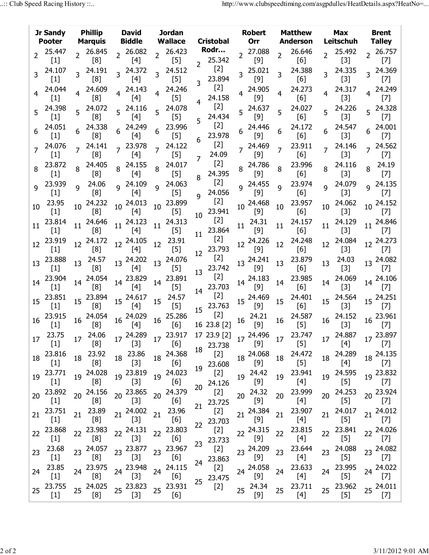|                 | Jr Sandy<br><b>Pooter</b>                                                                                                                                                                                                                                                                                                                                                                                                                                                                                                                                                                                                      |                | <b>Phillip</b><br><b>Marquis</b>                                                                                                                                  |                  | <b>David</b><br><b>Biddle</b> |                | Jordan<br><b>Wallace</b>                                                                                                                                                                                           |                | <b>Cristobal</b>                                                          |                 | <b>Robert</b><br>Orr                                                                                                                                                                                                                                                                                                                                                                         |                | <b>Matthew</b><br><b>Anderson</b>                                                                                                                                                                 |    | Max<br>Leitschuh                                                                                                                                                                                                             |                | <b>Brent</b><br><b>Talley</b>                                                                                                                                                                                                                                                                                      |
|-----------------|--------------------------------------------------------------------------------------------------------------------------------------------------------------------------------------------------------------------------------------------------------------------------------------------------------------------------------------------------------------------------------------------------------------------------------------------------------------------------------------------------------------------------------------------------------------------------------------------------------------------------------|----------------|-------------------------------------------------------------------------------------------------------------------------------------------------------------------|------------------|-------------------------------|----------------|--------------------------------------------------------------------------------------------------------------------------------------------------------------------------------------------------------------------|----------------|---------------------------------------------------------------------------|-----------------|----------------------------------------------------------------------------------------------------------------------------------------------------------------------------------------------------------------------------------------------------------------------------------------------------------------------------------------------------------------------------------------------|----------------|---------------------------------------------------------------------------------------------------------------------------------------------------------------------------------------------------|----|------------------------------------------------------------------------------------------------------------------------------------------------------------------------------------------------------------------------------|----------------|--------------------------------------------------------------------------------------------------------------------------------------------------------------------------------------------------------------------------------------------------------------------------------------------------------------------|
| $\overline{2}$  | 25.447<br>$[1]$                                                                                                                                                                                                                                                                                                                                                                                                                                                                                                                                                                                                                | $\overline{2}$ | 26.845<br>[8]                                                                                                                                                     |                  | 2 26.082<br>[4]               | 2 <sup>1</sup> | 26.423<br>$[5] % \includegraphics[width=0.9\columnwidth]{figures/fig_10.pdf} \caption{The figure shows the number of times, and the number of times, and the number of times, respectively.} \label{fig:fig:time}$ | $\overline{2}$ | Rodr…<br>25.342                                                           | $\overline{2}$  | 27.088<br>$[9]$                                                                                                                                                                                                                                                                                                                                                                              | $\overline{2}$ | 26.646<br>[6]                                                                                                                                                                                     |    | 25.492<br>$[3]$                                                                                                                                                                                                              |                | 2 26.757<br>$[7]$                                                                                                                                                                                                                                                                                                  |
|                 | 24.107<br>$[1]$                                                                                                                                                                                                                                                                                                                                                                                                                                                                                                                                                                                                                |                | 24.191<br>[8]                                                                                                                                                     |                  | 24.372<br>[4]                 |                | 24.512<br>$[5]$                                                                                                                                                                                                    | 3              | $[2]$<br>23.894                                                           |                 | 25.021<br>$[9]$                                                                                                                                                                                                                                                                                                                                                                              | 3              | 24.388<br>[6]                                                                                                                                                                                     |    | 24.335<br>$[3]$                                                                                                                                                                                                              |                | 3 24.369<br>$[7]$                                                                                                                                                                                                                                                                                                  |
|                 | 24.044<br>$[1]$                                                                                                                                                                                                                                                                                                                                                                                                                                                                                                                                                                                                                |                | 24.609<br>[8]                                                                                                                                                     |                  | 24.143<br>$[4]$               | $\overline{4}$ | 24.246<br>$[5]$                                                                                                                                                                                                    | $\overline{4}$ | $[2]$<br>24.158                                                           |                 | 24.905<br>$[9]$                                                                                                                                                                                                                                                                                                                                                                              | 4              | 24.273<br>[6]                                                                                                                                                                                     | 4  | 24.317<br>$[3]$                                                                                                                                                                                                              | $\overline{4}$ | 24.249<br>$[7]$                                                                                                                                                                                                                                                                                                    |
| 5               | 24.398<br>$[1]$                                                                                                                                                                                                                                                                                                                                                                                                                                                                                                                                                                                                                |                | 24.072<br>[8]                                                                                                                                                     |                  | $5^{24.116}$<br>$[4]$         | 5 <sup>1</sup> | 24.078<br>$[5]$                                                                                                                                                                                                    |                | $[2]$<br>24.434                                                           |                 | 5 24.637<br>$[9]$                                                                                                                                                                                                                                                                                                                                                                            | 5              | 24.027<br>[6]                                                                                                                                                                                     |    | 24.226<br>$[3]$                                                                                                                                                                                                              |                | 5 24.328<br>$[7]$                                                                                                                                                                                                                                                                                                  |
| 6               | 24.051<br>$[1]$                                                                                                                                                                                                                                                                                                                                                                                                                                                                                                                                                                                                                |                | 24.338<br>[8]                                                                                                                                                     |                  | 24.249<br>[4]                 | 6              | 23.996<br>$[5] % \includegraphics[width=0.9\columnwidth]{figures/fig_10.pdf} \caption{The figure shows the number of times, and the number of times, and the number of times, respectively.} \label{fig:fig:time}$ | 5              | $[2]$<br>23.978                                                           |                 | 24.446<br>[9]                                                                                                                                                                                                                                                                                                                                                                                | 6              | 24.172<br>[6]                                                                                                                                                                                     |    | 24.547<br>$[3]$                                                                                                                                                                                                              |                | 24.001<br>$[7]$                                                                                                                                                                                                                                                                                                    |
|                 | 24.076<br>$[1]$                                                                                                                                                                                                                                                                                                                                                                                                                                                                                                                                                                                                                |                | 24.141<br>[8]                                                                                                                                                     |                  | 23.978<br>$[4]$               |                | 24.122<br>$[5]$                                                                                                                                                                                                    | 6<br>7         | $[2]$<br>24.09                                                            |                 | 24.469<br>$[9]$                                                                                                                                                                                                                                                                                                                                                                              |                | 23.911<br>[6]                                                                                                                                                                                     |    | 24.146<br>$[3]$                                                                                                                                                                                                              |                | 24.562<br>$[7]$                                                                                                                                                                                                                                                                                                    |
| 8               | 23.872<br>$\left[1\right]$                                                                                                                                                                                                                                                                                                                                                                                                                                                                                                                                                                                                     |                | 24.405<br>[8]                                                                                                                                                     | 8                | 24.155<br>$[4]$               | 8              | 24.017<br>$[5] % \includegraphics[width=0.9\columnwidth]{figures/fig_10.pdf} \caption{The figure shows the number of times, and the number of times, and the number of times, respectively.} \label{fig:fig:time}$ | 8              | $[2]$<br>24.395                                                           | 8               | 24.786<br>[9]                                                                                                                                                                                                                                                                                                                                                                                | 8              | 23.996<br>[6]                                                                                                                                                                                     | 8  | 24.116<br>$[3]$                                                                                                                                                                                                              | 8              | 24.19<br>$[7]$                                                                                                                                                                                                                                                                                                     |
| 9               | 23.939<br>$[1]$                                                                                                                                                                                                                                                                                                                                                                                                                                                                                                                                                                                                                | q              | 24.06<br>[8]                                                                                                                                                      |                  | <sup>9</sup> 24.109<br>$[4]$  | q              | 24.063<br>$[5]$                                                                                                                                                                                                    | q              | $[2]$<br>24.056                                                           |                 | 24.455<br>$[9]$                                                                                                                                                                                                                                                                                                                                                                              | q              | 23.974<br>[6]                                                                                                                                                                                     | q  | 24.079<br>$[3]$                                                                                                                                                                                                              | q              | 24.135<br>$[7]$                                                                                                                                                                                                                                                                                                    |
| 10              | 23.95<br>$[1]$                                                                                                                                                                                                                                                                                                                                                                                                                                                                                                                                                                                                                 | 10             | 24.232<br>[8]                                                                                                                                                     | 10               | 24.013<br>$[4]$               | 10             | 23.899<br>$[5]$                                                                                                                                                                                                    | 10             | $[2]$<br>23.941                                                           | 10 <sup>°</sup> | 24.468<br>[9]                                                                                                                                                                                                                                                                                                                                                                                | 10             | 23.957<br>[6]                                                                                                                                                                                     | 10 | 24.062<br>$[3]$                                                                                                                                                                                                              |                | 10 24.152<br>$[7]$                                                                                                                                                                                                                                                                                                 |
| 11              | 23.814<br>$[1]$                                                                                                                                                                                                                                                                                                                                                                                                                                                                                                                                                                                                                | 11             | 24.646<br>[8]                                                                                                                                                     | 11               | 24.123<br>$[4]$               | 11             | 24.313<br>$[5]$                                                                                                                                                                                                    | 11             | $[2]$<br>23.864                                                           | 11              | 24.31<br>$[9]$                                                                                                                                                                                                                                                                                                                                                                               | 11             | 24.157<br>[6]                                                                                                                                                                                     | 11 | 24.129<br>$[3]$                                                                                                                                                                                                              |                | 11 24.846<br>$[7]$                                                                                                                                                                                                                                                                                                 |
| 12 <sub>2</sub> | 23.919<br>$[1]$                                                                                                                                                                                                                                                                                                                                                                                                                                                                                                                                                                                                                | 12             | 24.172<br>[8]                                                                                                                                                     | 12 <sup>12</sup> | 24.105<br>$[4]$               | 12             | 23.91<br>$[5]$                                                                                                                                                                                                     | 12             | $[2]$<br>23.793                                                           | 12              | 24.226<br>[9]                                                                                                                                                                                                                                                                                                                                                                                | 12             | 24.248<br>[6]                                                                                                                                                                                     | 12 | 24.084<br>$[3]$                                                                                                                                                                                                              |                | 12 24.273<br>$[7]$                                                                                                                                                                                                                                                                                                 |
| 13              | 23.888<br>$[1]$                                                                                                                                                                                                                                                                                                                                                                                                                                                                                                                                                                                                                | 13             | 24.57<br>[8]                                                                                                                                                      |                  | 13 24.202<br>$[4]$            |                | 24.076<br>$[5] % \includegraphics[width=0.9\columnwidth]{figures/fig_10.pdf} \caption{The figure shows the number of times, and the number of times, and the number of times, respectively.} \label{fig:fig:time}$ | 13             | $[2]$<br>23.742                                                           | 13              | 24.241<br>$[9]$                                                                                                                                                                                                                                                                                                                                                                              | 13             | 23.879<br>[6]                                                                                                                                                                                     | 13 | 24.03<br>$[3]$                                                                                                                                                                                                               |                | 13 24.082<br>$[7]$                                                                                                                                                                                                                                                                                                 |
| 14              | 23.904<br>$[1]$                                                                                                                                                                                                                                                                                                                                                                                                                                                                                                                                                                                                                | 14             | 24.054<br>[8]                                                                                                                                                     | 14               | 23.829<br>$[4]$               | 14             | 23.891<br>$[5] % \includegraphics[width=0.9\columnwidth]{figures/fig_10.pdf} \caption{The figure shows the number of times, and the number of times, and the number of times, respectively.} \label{fig:fig:time}$ | 14             | $[2]$<br>23.703                                                           |                 | 14 24.183<br>[9]                                                                                                                                                                                                                                                                                                                                                                             | 14             | 23.985<br>[6]                                                                                                                                                                                     | 14 | 24.069<br>$[3]$                                                                                                                                                                                                              |                | 14 24.106<br>$[7]$                                                                                                                                                                                                                                                                                                 |
| 15 <sup>1</sup> | 23.851<br>$[1]$                                                                                                                                                                                                                                                                                                                                                                                                                                                                                                                                                                                                                | 15             | 23.894<br>[8]                                                                                                                                                     |                  | 15 24.617<br>$[4]$            | 15             | 24.57<br>$[5]$                                                                                                                                                                                                     | 15             | $[2]$<br>23.763                                                           |                 | 15 24.469<br>$[9]$                                                                                                                                                                                                                                                                                                                                                                           | 15             | 24.401<br>[6]                                                                                                                                                                                     | 15 | 24.564<br>$[3]$                                                                                                                                                                                                              |                | 15 24.251<br>$[7]$                                                                                                                                                                                                                                                                                                 |
| 16              | 23.915<br>$[1]$                                                                                                                                                                                                                                                                                                                                                                                                                                                                                                                                                                                                                | 16             | 24.054<br>[8]                                                                                                                                                     |                  | 16 24.029<br>$[4]$            | 16             | 25.286<br>[6]                                                                                                                                                                                                      |                | $[2]$<br>16 23.8 [2]                                                      | 16              | 24.21<br>$[9]$                                                                                                                                                                                                                                                                                                                                                                               | 16             | 24.587<br>$[5]$                                                                                                                                                                                   | 16 | 24.152<br>$[3]$                                                                                                                                                                                                              |                | $16^{23.961}$<br>$[7]$                                                                                                                                                                                                                                                                                             |
| 17              | 23.75<br>$[1] % \begin{center} % \includegraphics[width=\linewidth]{imagesSupplemental_3.png} % \end{center} % \caption { % Our method can be used for the proposed method. % Note that the \emph{Stab} and the \emph{Stab} can be used for the \emph{Stab} and the \emph{Stab} can be used for the \emph{Stab} and the \emph{Stab} can be used for the \emph{Stab} and the \emph{Stab} can be used for the \emph{Stab} and the \emph{Stab} can be used for the \emph{Stab} and the \emph{Stab} can be used for the \emph{Stab} and the \emph{Stab} can be used for the \emph{Stab} and the \emph{Stab} can be used for the \$ |                |                                                                                                                                                                   |                  |                               |                | $[6]$                                                                                                                                                                                                              | 18             | $17\substack{23.917\\15}$ 17 23.9 [2] $17\substack{24.496\\16}$<br>23.738 |                 | $[9] % \begin{center} \includegraphics[width=\linewidth]{imagesSupplemental/Imetad1.jpg} \end{center} % \caption{The image shows the method of the method of the method. The left-hand side is the right side (in the left) of the method. The right side is the right side (in the right) of the method. The right side is the right side (in the right) of the method.} \label{fig:limal}$ | 17             | 1723.747<br>$[5] % \begin{center} \includegraphics[width=\linewidth]{imagesSupplemental/Imit} \caption{The image shows the image shows a single number of times.} \label{fig:limal} \end{center}$ | 17 | 24.887<br>[4]                                                                                                                                                                                                                |                | 17 23.897<br>$[7] \centering% \includegraphics[width=1.0\textwidth]{images/TrDiC-Architecture.png} \caption{The 3D (top) and the 4D (bottom) of the 3D (bottom) and the 4D (bottom) of the 3D (bottom) and the 4D (bottom) of the 3D (bottom) and the 4D (bottom) of the 3D (bottom).} \label{TrDiC-Architecture}$ |
| 18              | 23.816                                                                                                                                                                                                                                                                                                                                                                                                                                                                                                                                                                                                                         | 18             | 23.92<br>[8]                                                                                                                                                      | 18               | 23.86<br>$[3]$                | 18             | 24.368<br>[6]                                                                                                                                                                                                      | 19             | $[2]$<br>23.608                                                           | 18              | 24.068<br>$[9]$                                                                                                                                                                                                                                                                                                                                                                              | 18             | 24.472<br>$[5]$                                                                                                                                                                                   | 18 | 24.289<br>[4]                                                                                                                                                                                                                |                | 18 24.135<br>$[7]$                                                                                                                                                                                                                                                                                                 |
| 19              | 23.771<br>$[1]$                                                                                                                                                                                                                                                                                                                                                                                                                                                                                                                                                                                                                | 19             | 24.028<br>$[8] % \includegraphics[width=0.9\columnwidth]{figures/fig_1a} \caption{Schematic plot of the top of the top of the top of the right.} \label{fig:1} %$ | 19               | 23.819<br>$[3]$               | 19             | 24.023<br>[6]                                                                                                                                                                                                      | 20             | $[2]$<br>24.126                                                           | 19              | 24.42<br>$[9]$                                                                                                                                                                                                                                                                                                                                                                               | 19             | 23.941<br>$[4]$                                                                                                                                                                                   | 19 | 24.595<br>$[5]$                                                                                                                                                                                                              |                | 19 23.832<br>$[7]$                                                                                                                                                                                                                                                                                                 |
| 20              | 23.892<br>$[1]$                                                                                                                                                                                                                                                                                                                                                                                                                                                                                                                                                                                                                | 20             | 24.156<br>[8]                                                                                                                                                     | 20 <sup>°</sup>  | 23.865<br>$[3]$               | 20             | 24.379<br>[6]                                                                                                                                                                                                      | 21             | $[2]$<br>23.725                                                           | 20              | 24.32<br>[9]                                                                                                                                                                                                                                                                                                                                                                                 | 20             | 23.999<br>$[4]$                                                                                                                                                                                   | 20 | 24.253<br>$[5] % \includegraphics[width=0.9\columnwidth]{figures/fig_10.pdf} \caption{The figure shows the number of times, and the number of times, and the number of times, respectively.} \label{fig:fig:time}$           |                | 20 23.924<br>$[7]$                                                                                                                                                                                                                                                                                                 |
| 21              | 23.751<br>$[1]$                                                                                                                                                                                                                                                                                                                                                                                                                                                                                                                                                                                                                | 21             | 23.89<br>[8]                                                                                                                                                      | 21               | 24.002<br>$[3]$               | 21             | 23.96<br>[6]                                                                                                                                                                                                       |                | $[2]$<br>23.703                                                           | 21              | 24.384<br>$[9]$                                                                                                                                                                                                                                                                                                                                                                              | 21             | 23.907<br>$[4]$                                                                                                                                                                                   | 21 | 24.017<br>$[5]$                                                                                                                                                                                                              |                | 21 24.012<br>$[7]$                                                                                                                                                                                                                                                                                                 |
| 22              | 23.868                                                                                                                                                                                                                                                                                                                                                                                                                                                                                                                                                                                                                         | 22             | 23.983<br>[8]                                                                                                                                                     | 22               | 24.131<br>$[3]$               | 22             | 23.803<br>[6]                                                                                                                                                                                                      | 22<br>23       | $[2]$<br>23.733                                                           | 22              | 24.315<br>$[9]$                                                                                                                                                                                                                                                                                                                                                                              | 22             | 23.815<br>$[4]$                                                                                                                                                                                   | 22 | 23.841<br>$[5] % \includegraphics[width=0.9\columnwidth]{figures/fig_10.pdf} \caption{The figure shows the number of times, and the number of times, and the number of times, respectively.} \label{fig:fig:time}$           |                | 22 24.026<br>$[7]$                                                                                                                                                                                                                                                                                                 |
| 23              | 23.68<br>$[1]$                                                                                                                                                                                                                                                                                                                                                                                                                                                                                                                                                                                                                 | 23             | 24.057<br>[8]                                                                                                                                                     | 23 <sup>°</sup>  | 23.877<br>$[3]$               | 23             | 23.967<br>[6]                                                                                                                                                                                                      |                | $[2]$<br>23.863                                                           | 23              | 24.209<br>$[9]$                                                                                                                                                                                                                                                                                                                                                                              | 23             | 23.644<br>$[4]$                                                                                                                                                                                   | 23 | 24.088<br>$[5]$                                                                                                                                                                                                              |                | 23 24.082<br>$[7] \centering% \includegraphics[width=1.0\textwidth]{images/TrDiC-Architecture.png} \caption{The 3D (top) and the 4D (bottom) of the 3D (bottom) and the 4D (bottom) of the 3D (bottom) and the 4D (bottom) of the 3D (bottom) and the 4D (bottom) of the 3D (bottom).} \label{TrDiC-Architecture}$ |
| 24              | 23.85                                                                                                                                                                                                                                                                                                                                                                                                                                                                                                                                                                                                                          | 24             | 23.975<br>[8]                                                                                                                                                     | 24               | 23.948<br>$[3]$               | 24             | 24.115<br>[6]                                                                                                                                                                                                      | 24<br>25       | $[2]$<br>23.475                                                           |                 | 24 24 058<br>[9]                                                                                                                                                                                                                                                                                                                                                                             | 24             | 23.633<br>$[4]$                                                                                                                                                                                   | 24 | 23.995<br>$[5] % \includegraphics[width=0.9\columnwidth]{figures/fig_10.pdf} \caption{The 3D (black) model for the estimators in the left and right. The left and right is the same as in the right.} \label{fig:fig:10}} %$ |                | 24 24.022<br>$[7] \centering% \includegraphics[width=1.0\textwidth]{images/TrDiC-Architecture.png} \caption{The 3D (top) and the 4D (bottom) of the 3D (bottom) and the 4D (bottom) of the 3D (bottom) and the 4D (bottom) of the 3D (bottom) and the 4D (bottom) of the 3D (bottom).} \label{TrDiC-Architecture}$ |
| 25              | 23.755<br>$[1]$                                                                                                                                                                                                                                                                                                                                                                                                                                                                                                                                                                                                                |                | 25 24.025<br>[8]                                                                                                                                                  |                  | 25 23.823<br>$[3]$            |                | 25 23.931<br>[6]                                                                                                                                                                                                   |                | $[2]$                                                                     | 25              | 24.34                                                                                                                                                                                                                                                                                                                                                                                        | 25             | 23.711<br>$[4]$                                                                                                                                                                                   | 25 | 23.962<br>$[5]$                                                                                                                                                                                                              |                | 25 24.011<br>$[7]$                                                                                                                                                                                                                                                                                                 |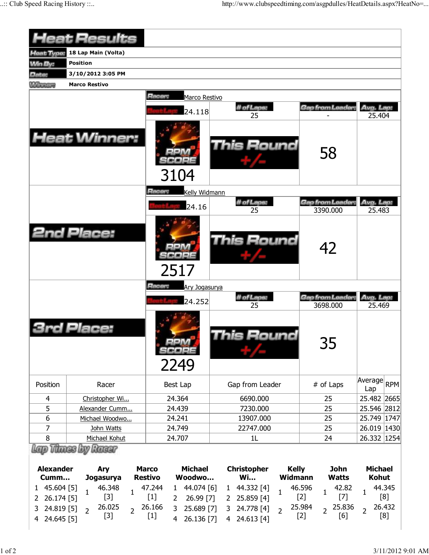|                          | <b>Heat Results</b>                    |                                |                                 |                                       |                         |                              |                                |
|--------------------------|----------------------------------------|--------------------------------|---------------------------------|---------------------------------------|-------------------------|------------------------------|--------------------------------|
| <b>Heat Type:</b>        | 18 Lap Main (Volta)                    |                                |                                 |                                       |                         |                              |                                |
| <b>Min By:</b>           | <b>Position</b>                        |                                |                                 |                                       |                         |                              |                                |
| Date:                    | 3/10/2012 3:05 PM                      |                                |                                 |                                       |                         |                              |                                |
| <b>Winners</b>           | <b>Marco Restivo</b>                   |                                |                                 |                                       |                         |                              |                                |
|                          | <b>Heat Winner:</b>                    | <b>Hacer:</b>                  | Marco Restivo<br>24.118<br>3104 | # of Laps:<br>25<br><b>This Round</b> |                         | Gap from Leader:<br>58       | Avg. Lap:<br>25.404            |
|                          |                                        | Racer:                         | Kelly Widmann                   |                                       |                         |                              |                                |
|                          |                                        |                                | 24.16                           | # of Laps:<br>25                      |                         | Gap from Leader<br>3390.000  | Avg. Lap:<br>25.483            |
|                          | <b>2nd Place:</b>                      |                                | 2517                            | <b>This Round</b>                     |                         | 42                           |                                |
|                          |                                        | Racer:                         | Ary Jogasurya                   |                                       |                         |                              |                                |
|                          |                                        |                                | 24.252                          | # of Laps:<br>25                      |                         | Gap from Leader:<br>3698.000 | Avg. Lap:<br>25.469            |
| Place:                   |                                        |                                | 2249                            | his Round                             |                         | 35                           |                                |
| Position                 | Racer                                  |                                | Best Lap                        | Gap from Leader                       |                         | # of Laps                    | Average<br><b>RPM</b><br>Lap   |
| 4                        | Christopher Wi                         |                                | 24.364                          | 6690.000                              |                         | 25                           | 25.482 2665                    |
| 5                        | Alexander Cumm                         |                                | 24.439                          | 7230.000                              |                         | 25                           | 25.546 2812                    |
| 6                        | Michael Woodwo                         |                                | 24.241                          | 13907.000                             |                         | 25                           | 25.749 1747                    |
| 7                        | John Watts                             |                                | 24.749                          | 22747.000                             |                         | 25                           | 26.019 1430                    |
| 8                        | Michael Kohut                          |                                | 24.707                          | 1L                                    |                         | 24                           | 26.332 1254                    |
| <b>Alexander</b><br>Cumm | Lap Thues by Raear<br>Ary<br>Jogasurya | <b>Marco</b><br><b>Restivo</b> | <b>Michael</b><br>Woodwo        | <b>Christopher</b><br><b>Wi</b>       | <b>Kelly</b><br>Widmann | <b>John</b><br><b>Watts</b>  | <b>Michael</b><br><b>Kohut</b> |
| 45.604 [5]<br>1          | 46.348<br>$\mathbf{1}$                 | 47.244<br>$\mathbf{1}$         | 44.074 [6]<br>$\mathbf{1}$      | 1 44.332 [4]<br>$\mathbf{1}$          | 46.596                  | 42.82<br>$\mathbf{1}$        | 44.345<br>1                    |
| 26.174 [5]<br>2          | $[3]$                                  | $[1]$                          | 26.99 [7]<br>2                  | 25.859 [4]<br>2                       | $[2]$                   | $[7]$                        | [8]                            |
| 24.819 [5]<br>3          | 26.025<br>$\overline{2}$               | 26.166<br>$\overline{2}$       | 3<br>25.689 [7]                 | 24.778 [4]<br>3<br>$\overline{2}$     | 25.984                  | 25.836<br>$\overline{2}$     | 26.432<br>$\overline{2}$       |